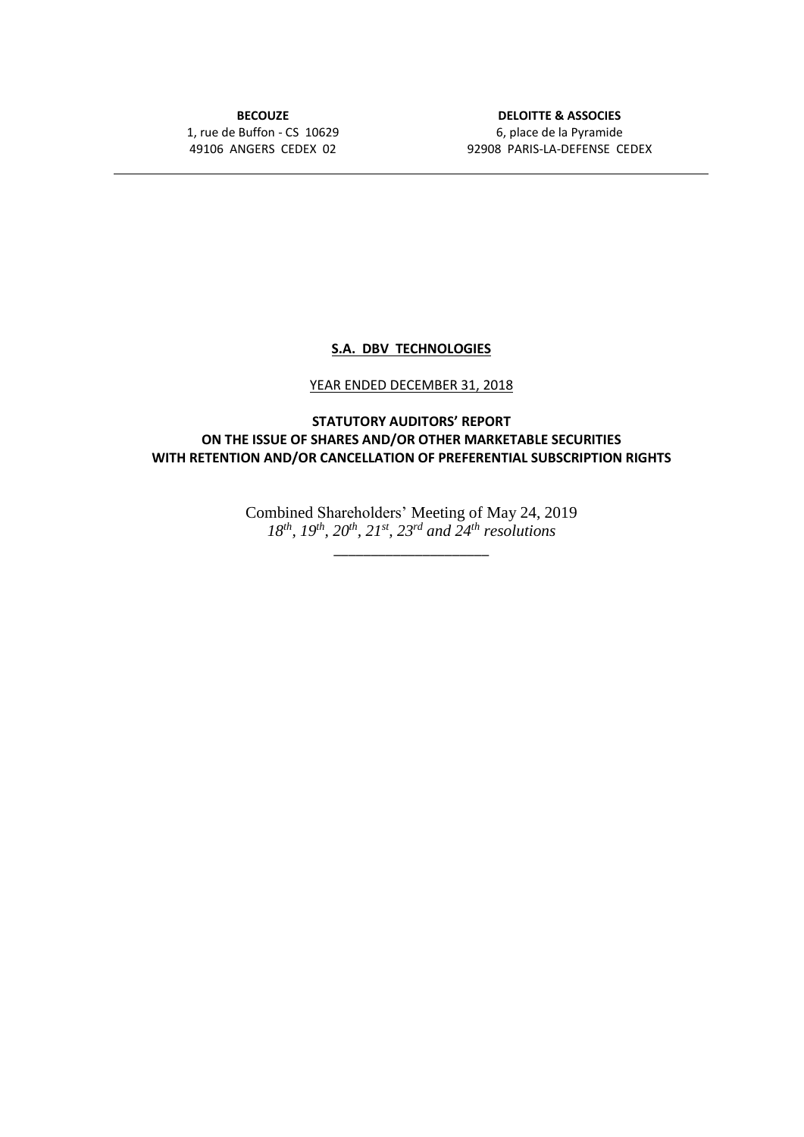**BECOUZE** 1, rue de Buffon - CS 10629 49106 ANGERS CEDEX 02

**DELOITTE & ASSOCIES** 6, place de la Pyramide 92908 PARIS-LA-DEFENSE CEDEX

## **S.A. DBV TECHNOLOGIES**

## YEAR ENDED DECEMBER 31, 2018

**STATUTORY AUDITORS' REPORT ON THE ISSUE OF SHARES AND/OR OTHER MARKETABLE SECURITIES WITH RETENTION AND/OR CANCELLATION OF PREFERENTIAL SUBSCRIPTION RIGHTS**

> Combined Shareholders' Meeting of May 24, 2019 *18th, 19th, 20th, 21st, 23rd and 24th resolutions*

> > \_\_\_\_\_\_\_\_\_\_\_\_\_\_\_\_\_\_\_\_\_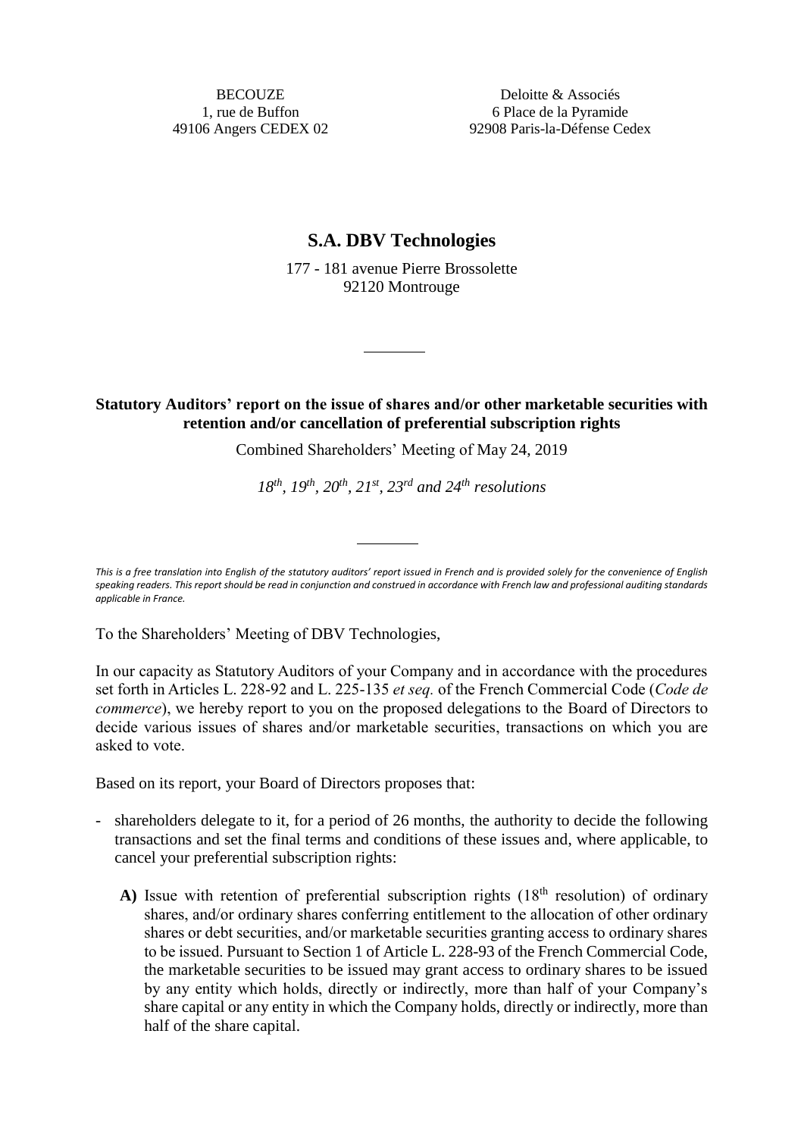**BECOUZE** 1, rue de Buffon 49106 Angers CEDEX 02

Deloitte & Associés 6 Place de la Pyramide 92908 Paris-la-Défense Cedex

## **S.A. DBV Technologies**

177 - 181 avenue Pierre Brossolette 92120 Montrouge

## **Statutory Auditors' report on the issue of shares and/or other marketable securities with retention and/or cancellation of preferential subscription rights**

Combined Shareholders' Meeting of May 24, 2019

*18th, 19th, 20th, 21st, 23rd and 24th resolutions*

*This is a free translation into English of the statutory auditors' report issued in French and is provided solely for the convenience of English speaking readers. This report should be read in conjunction and construed in accordance with French law and professional auditing standards applicable in France.*

To the Shareholders' Meeting of DBV Technologies,

In our capacity as Statutory Auditors of your Company and in accordance with the procedures set forth in Articles L. 228-92 and L. 225-135 *et seq.* of the French Commercial Code (*Code de commerce*), we hereby report to you on the proposed delegations to the Board of Directors to decide various issues of shares and/or marketable securities, transactions on which you are asked to vote.

Based on its report, your Board of Directors proposes that:

- shareholders delegate to it, for a period of 26 months, the authority to decide the following transactions and set the final terms and conditions of these issues and, where applicable, to cancel your preferential subscription rights:
	- A) Issue with retention of preferential subscription rights  $(18<sup>th</sup>$  resolution) of ordinary shares, and/or ordinary shares conferring entitlement to the allocation of other ordinary shares or debt securities, and/or marketable securities granting access to ordinary shares to be issued. Pursuant to Section 1 of Article L. 228-93 of the French Commercial Code, the marketable securities to be issued may grant access to ordinary shares to be issued by any entity which holds, directly or indirectly, more than half of your Company's share capital or any entity in which the Company holds, directly or indirectly, more than half of the share capital.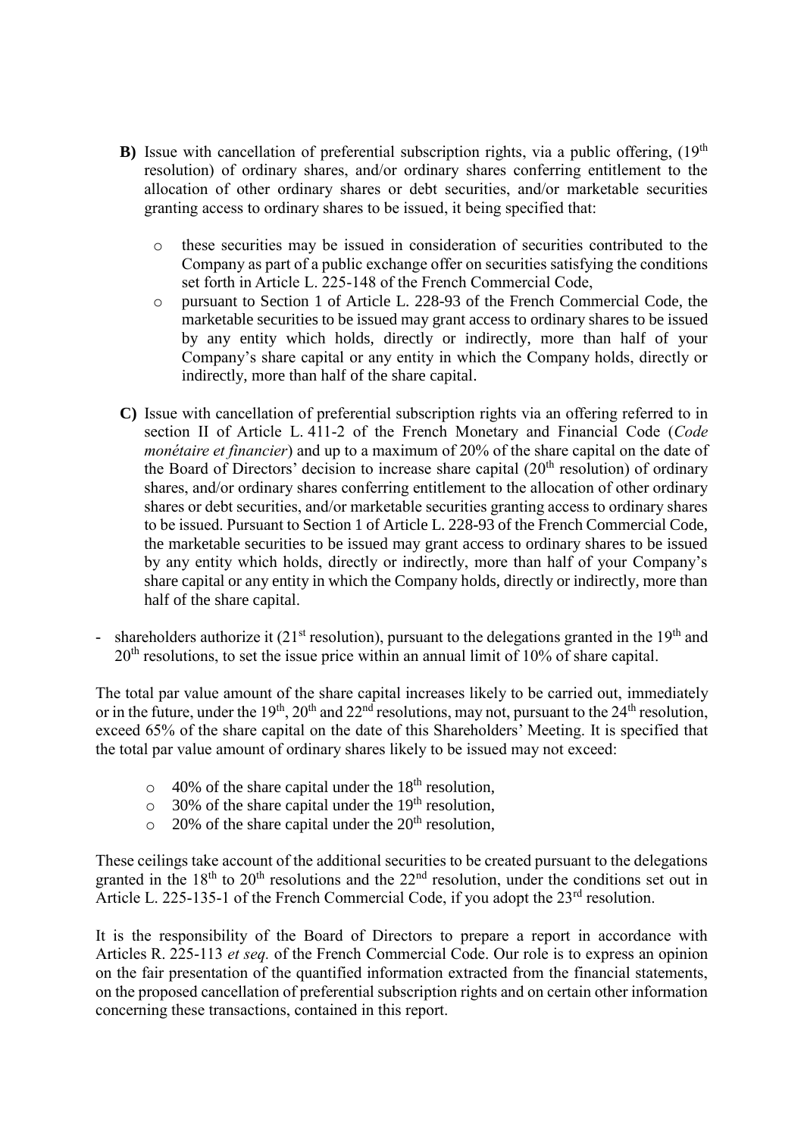- **B**) Issue with cancellation of preferential subscription rights, via a public offering,  $(19<sup>th</sup>)$ resolution) of ordinary shares, and/or ordinary shares conferring entitlement to the allocation of other ordinary shares or debt securities, and/or marketable securities granting access to ordinary shares to be issued, it being specified that:
	- o these securities may be issued in consideration of securities contributed to the Company as part of a public exchange offer on securities satisfying the conditions set forth in Article L. 225-148 of the French Commercial Code,
	- o pursuant to Section 1 of Article L. 228-93 of the French Commercial Code, the marketable securities to be issued may grant access to ordinary shares to be issued by any entity which holds, directly or indirectly, more than half of your Company's share capital or any entity in which the Company holds, directly or indirectly, more than half of the share capital.
- **C)** Issue with cancellation of preferential subscription rights via an offering referred to in section II of Article L. 411-2 of the French Monetary and Financial Code (*Code monétaire et financier*) and up to a maximum of 20% of the share capital on the date of the Board of Directors' decision to increase share capital  $(20<sup>th</sup>$  resolution) of ordinary shares, and/or ordinary shares conferring entitlement to the allocation of other ordinary shares or debt securities, and/or marketable securities granting access to ordinary shares to be issued. Pursuant to Section 1 of Article L. 228-93 of the French Commercial Code, the marketable securities to be issued may grant access to ordinary shares to be issued by any entity which holds, directly or indirectly, more than half of your Company's share capital or any entity in which the Company holds, directly or indirectly, more than half of the share capital.
- shareholders authorize it ( $21<sup>st</sup>$  resolution), pursuant to the delegations granted in the  $19<sup>th</sup>$  and  $20<sup>th</sup>$  resolutions, to set the issue price within an annual limit of 10% of share capital.

The total par value amount of the share capital increases likely to be carried out, immediately or in the future, under the 19<sup>th</sup>, 20<sup>th</sup> and 22<sup>nd</sup> resolutions, may not, pursuant to the 24<sup>th</sup> resolution, exceed 65% of the share capital on the date of this Shareholders' Meeting. It is specified that the total par value amount of ordinary shares likely to be issued may not exceed:

- $\circ$  40% of the share capital under the 18<sup>th</sup> resolution,
- $\circ$  30% of the share capital under the 19<sup>th</sup> resolution,
- $\circ$  20% of the share capital under the 20<sup>th</sup> resolution,

These ceilings take account of the additional securities to be created pursuant to the delegations granted in the 18<sup>th</sup> to 20<sup>th</sup> resolutions and the 22<sup>nd</sup> resolution, under the conditions set out in Article L. 225-135-1 of the French Commercial Code, if you adopt the 23<sup>rd</sup> resolution.

It is the responsibility of the Board of Directors to prepare a report in accordance with Articles R. 225-113 *et seq.* of the French Commercial Code. Our role is to express an opinion on the fair presentation of the quantified information extracted from the financial statements, on the proposed cancellation of preferential subscription rights and on certain other information concerning these transactions, contained in this report.